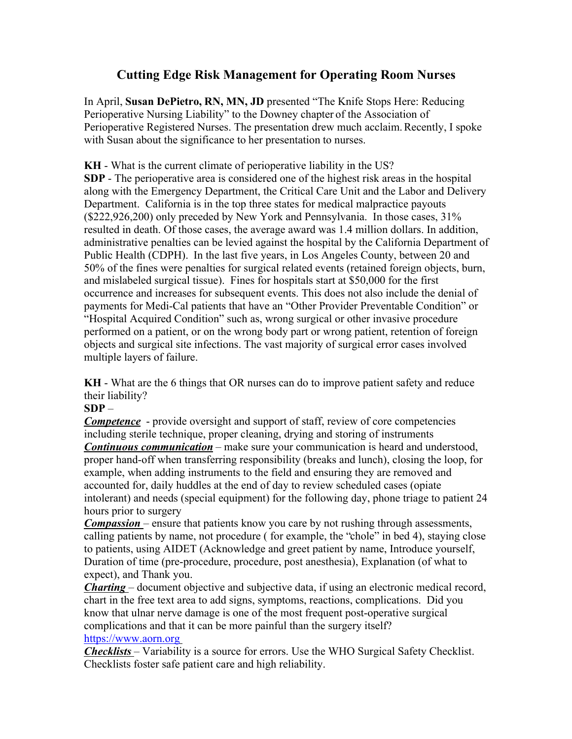## **Cutting Edge Risk Management for Operating Room Nurses**

In April, **Susan DePietro, RN, MN, JD** presented "The Knife Stops Here: Reducing Perioperative Nursing Liability" to the Downey chapter of the Association of Perioperative Registered Nurses. The presentation drew much acclaim. Recently, I spoke with Susan about the significance to her presentation to nurses.

**KH** - What is the current climate of perioperative liability in the US? **SDP** - The perioperative area is considered one of the highest risk areas in the hospital along with the Emergency Department, the Critical Care Unit and the Labor and Delivery Department. California is in the top three states for medical malpractice payouts (\$222,926,200) only preceded by New York and Pennsylvania. In those cases, 31% resulted in death. Of those cases, the average award was 1.4 million dollars. In addition, administrative penalties can be levied against the hospital by the California Department of Public Health (CDPH). In the last five years, in Los Angeles County, between 20 and 50% of the fines were penalties for surgical related events (retained foreign objects, burn, and mislabeled surgical tissue). Fines for hospitals start at \$50,000 for the first occurrence and increases for subsequent events. This does not also include the denial of payments for Medi-Cal patients that have an "Other Provider Preventable Condition" or "Hospital Acquired Condition" such as, wrong surgical or other invasive procedure performed on a patient, or on the wrong body part or wrong patient, retention of foreign objects and surgical site infections. The vast majority of surgical error cases involved multiple layers of failure.

**KH** - What are the 6 things that OR nurses can do to improve patient safety and reduce their liability?

## **SDP** *–*

*Competence* - provide oversight and support of staff, review of core competencies including sterile technique, proper cleaning, drying and storing of instruments *Continuous communication* – make sure your communication is heard and understood, proper hand-off when transferring responsibility (breaks and lunch), closing the loop, for example, when adding instruments to the field and ensuring they are removed and accounted for, daily huddles at the end of day to review scheduled cases (opiate intolerant) and needs (special equipment) for the following day, phone triage to patient 24 hours prior to surgery

*Compassion* – ensure that patients know you care by not rushing through assessments, calling patients by name, not procedure ( for example, the "chole" in bed 4), staying close to patients, using AIDET (Acknowledge and greet patient by name, Introduce yourself, Duration of time (pre-procedure, procedure, post anesthesia), Explanation (of what to expect), and Thank you.

*Charting* – document objective and subjective data, if using an electronic medical record, chart in the free text area to add signs, symptoms, reactions, complications. Did you know that ulnar nerve damage is one of the most frequent post-operative surgical complications and that it can be more painful than the surgery itself?

## <https://www.aorn.org>

*Checklists* – Variability is a source for errors. Use the WHO Surgical Safety Checklist. Checklists foster safe patient care and high reliability.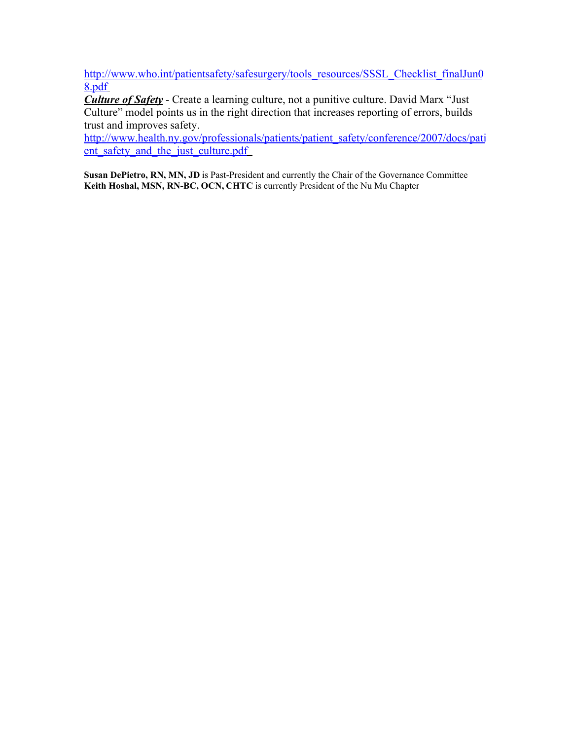[http://www.who.int/patientsafety/safesurgery/tools\\_resources/SSSL\\_Checklist\\_finalJun0](http://www.who.int/patientsafety/safesurgery/tools_resources/SSSL_Checklist_finalJun08.pdf) [8.pdf](http://www.who.int/patientsafety/safesurgery/tools_resources/SSSL_Checklist_finalJun08.pdf)

*Culture of Safety* - Create a learning culture, not a punitive culture. David Marx "Just Culture" model points us in the right direction that increases reporting of errors, builds trust and improves safety.

[http://www.health.ny.gov/professionals/patients/patient\\_safety/conference/2007/docs/pati](http://www.health.ny.gov/professionals/patients/patient_safety/conference/2007/docs/patient_safety_and_the_just_culture.pdf) ent safety and the just culture.pdf

**Susan DePietro, RN, MN, JD** is Past-President and currently the Chair of the Governance Committee **Keith Hoshal, MSN, RN-BC, OCN, CHTC** is currently President of the Nu Mu Chapter